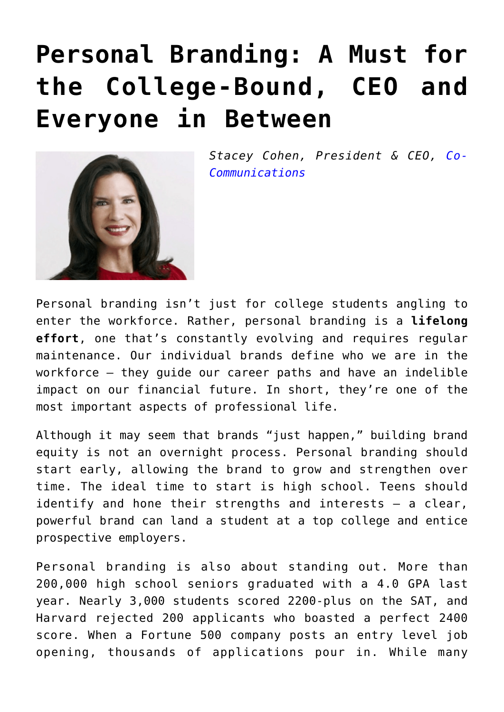## **[Personal Branding: A Must for](https://www.commpro.biz/personal-branding-a-must-for-the-college-bound-ceo-and-everyone-in-between/) [the College-Bound, CEO and](https://www.commpro.biz/personal-branding-a-must-for-the-college-bound-ceo-and-everyone-in-between/) [Everyone in Between](https://www.commpro.biz/personal-branding-a-must-for-the-college-bound-ceo-and-everyone-in-between/)**



*Stacey Cohen, President & CEO, [Co-](https://www.cocommunications.com/about/personalities/stacey-cohen/)[Communications](https://www.cocommunications.com/about/personalities/stacey-cohen/)*

Personal branding isn't just for college students angling to enter the workforce. Rather, personal branding is a **lifelong effort**, one that's constantly evolving and requires regular maintenance. Our individual brands define who we are in the workforce — they guide our career paths and have an indelible impact on our financial future. In short, they're one of the most important aspects of professional life.

Although it may seem that brands "just happen," building brand equity is not an overnight process. Personal branding should start early, allowing the brand to grow and strengthen over time. The ideal time to start is high school. Teens should identify and hone their strengths and interests — a clear, powerful brand can land a student at a top college and entice prospective employers.

Personal branding is also about standing out. More than 200,000 high school seniors graduated with a 4.0 GPA last year. Nearly 3,000 students scored 2200-plus on the SAT, and Harvard rejected 200 applicants who boasted a perfect 2400 score. When a Fortune 500 company posts an entry level job opening, thousands of applications pour in. While many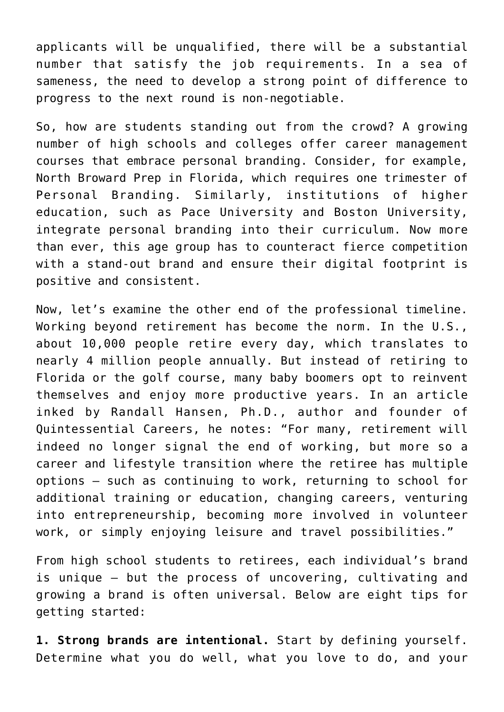applicants will be unqualified, there will be a substantial number that satisfy the job requirements. In a sea of sameness, the need to develop a strong point of difference to progress to the next round is non-negotiable.

So, how are students standing out from the crowd? A growing number of high schools and colleges offer career management courses that embrace personal branding. Consider, for example, North Broward Prep in Florida, which requires one trimester of Personal Branding. Similarly, institutions of higher education, such as Pace University and Boston University, integrate personal branding into their curriculum. Now more than ever, this age group has to counteract fierce competition with a stand-out brand and ensure their digital footprint is positive and consistent.

Now, let's examine the other end of the professional timeline. Working beyond retirement has become the norm. In the U.S., about 10,000 people retire every day, which translates to nearly 4 million people annually. But instead of retiring to Florida or the golf course, many baby boomers opt to reinvent themselves and enjoy more productive years. In an article inked by Randall Hansen, Ph.D., author and founder of Quintessential Careers, he notes: "For many, retirement will indeed no longer signal the end of working, but more so a career and lifestyle transition where the retiree has multiple options — such as continuing to work, returning to school for additional training or education, changing careers, venturing into entrepreneurship, becoming more involved in volunteer work, or simply enjoying leisure and travel possibilities."

From high school students to retirees, each individual's brand is unique — but the process of uncovering, cultivating and growing a brand is often universal. Below are eight tips for getting started:

**1. Strong brands are intentional.** Start by defining yourself. Determine what you do well, what you love to do, and your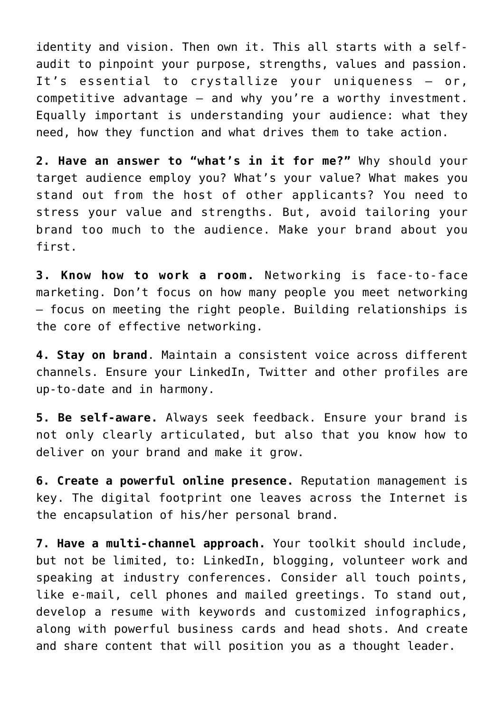identity and vision. Then own it. This all starts with a selfaudit to pinpoint your purpose, strengths, values and passion. It's essential to crystallize your uniqueness — or, competitive advantage — and why you're a worthy investment. Equally important is understanding your audience: what they need, how they function and what drives them to take action.

**2. Have an answer to "what's in it for me?"** Why should your target audience employ you? What's your value? What makes you stand out from the host of other applicants? You need to stress your value and strengths. But, avoid tailoring your brand too much to the audience. Make your brand about you first.

**3. Know how to work a room.** Networking is face-to-face marketing. Don't focus on how many people you meet networking — focus on meeting the right people. Building relationships is the core of effective networking.

**4. Stay on brand**. Maintain a consistent voice across different channels. Ensure your LinkedIn, Twitter and other profiles are up-to-date and in harmony.

**5. Be self-aware.** Always seek feedback. Ensure your brand is not only clearly articulated, but also that you know how to deliver on your brand and make it grow.

**6. Create a powerful online presence.** Reputation management is key. The digital footprint one leaves across the Internet is the encapsulation of his/her personal brand.

**7. Have a multi-channel approach.** Your toolkit should include, but not be limited, to: LinkedIn, blogging, volunteer work and speaking at industry conferences. Consider all touch points, like e-mail, cell phones and mailed greetings. To stand out, develop a resume with keywords and customized infographics, along with powerful business cards and head shots. And create and share content that will position you as a thought leader.